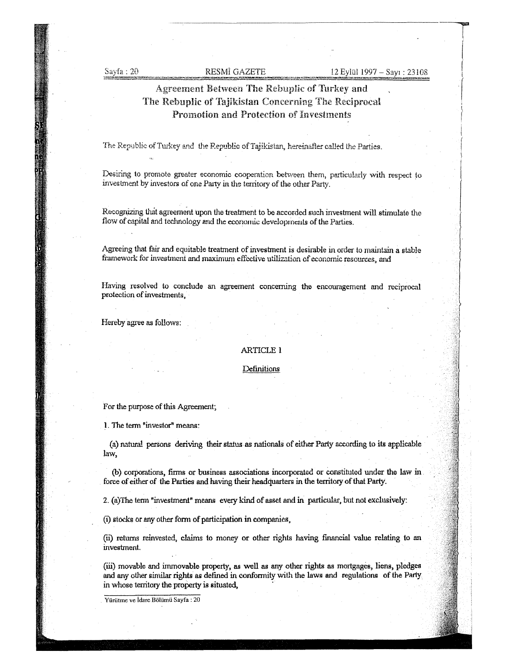$Savfa:20$ 

RESMİ GAZETE

12 Eylül 1997 - Sayı: 23108

# Agreement Between The Rebuplic of Turkey and The Rebuplic of Tajikistan Concerning The Reciprocal **Promotion and Protection of Investments**

The Republic of Turkey and the Republic of Tajikistan, hereinafter called the Parties.

Desiring to promote greater economic cooperation between them, particularly with respect to investment by investors of one Party in the territory of the other Party.

Recognizing that agreement upon the treatment to be accorded such investment will stimulate the flow of capital and technology and the economic developments of the Parties.

Agreeing that fair and equitable treatment of investment is desirable in order to maintain a stable framework for investment and maximum effective utilization of economic resources, and

Having resolved to conclude an agreement concerning the encouragement and reciprocal protection of investments,

Hereby agree as follows:

#### **ARTICLE 1**

# Definitions

For the purpose of this Agreement;

1. The term "investor" means:

(a) natural persons deriving their status as nationals of either Party according to its applicable law.

(b) corporations, firms or business associations incorporated or constituted under the law in force of either of the Parties and having their headquarters in the territory of that Party.

2. (a) The term "investment" means every kind of asset and in particular, but not exclusively:

(i) stocks or any other form of participation in companies,

(ii) returns reinvested, claims to money or other rights having financial value relating to an investment.

(iii) movable and immovable property, as well as any other rights as mortgages, liens, pledges and any other similar rights as defined in conformity with the laws and regulations of the Party in whose territory the property is situated.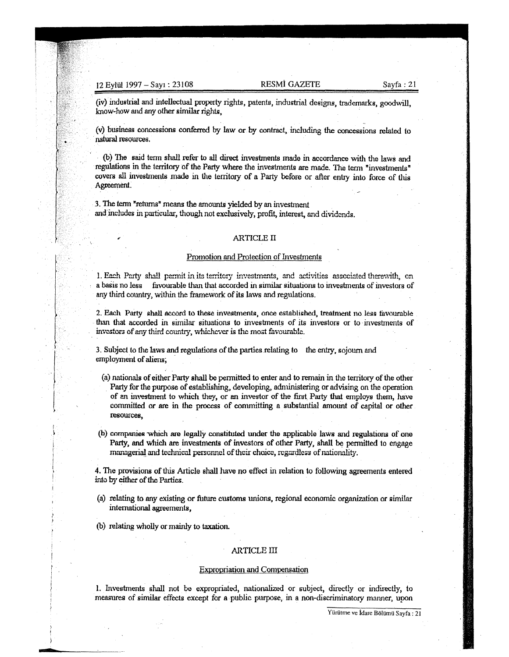#### 12 Evlül 1997 - Sayı: 23108

(iv) industrial and intellectual property rights, patents, industrial designs, trademarks, goodwill, know-how and any other similar rights.

(v) business concessions conferred by law or by contract, including the concessions related to natural resources.

(b) The said term shall refer to all direct investments made in accordance with the laws and regulations in the territory of the Party where the investments are made. The term "investments" covers all investments made in the territory of a Party before or after entry into force of this Agreement.

3. The term "returns" means the amounts yielded by an investment and includes in particular, though not exclusively, profit, interest, and dividends.

#### **ARTICLE II**

#### Promotion and Protection of Investments

1. Each Party shall permit in its territory investments, and activities associated therewith, on a basis no less favourable than that accorded in similar situations to investments of investors of any third country, within the framework of its laws and regulations.

2. Each Party shall accord to these investments, once established, treatment no less favourable than that accorded in similar situations to investments of its investors or to investments of investors of any third country, whichever is the most favourable.

3. Subject to the laws and regulations of the parties relating to the entry, sojourn and employment of aliens.

(a) nationals of either Party shall be permitted to enter and to remain in the territory of the other Party for the purpose of establishing, developing, administering or advising on the operation of an investment to which they, or an investor of the first Party that employs them, have committed or are in the process of committing a substantial amount of capital or other resources,

(b) companies which are legally constituted under the applicable laws and regulations of one Party, and which are investments of investors of other Party, shall be permitted to engage managerial and technical personnel of their choice, regardless of nationality.

4. The provisions of this Article shall have no effect in relation to following agreements entered into by either of the Parties.

- (a) relating to any existing or future customs unions, regional economic organization or similar international agreements.
- (b) relating wholly or mainly to taxation.

## **ARTICLE III**

#### **Expropriation and Compensation**

1. Investments shall not be expropriated, nationalized or subject, directly or indirectly, to measures of similar effects except for a public purpose, in a non-discriminatory manner, upon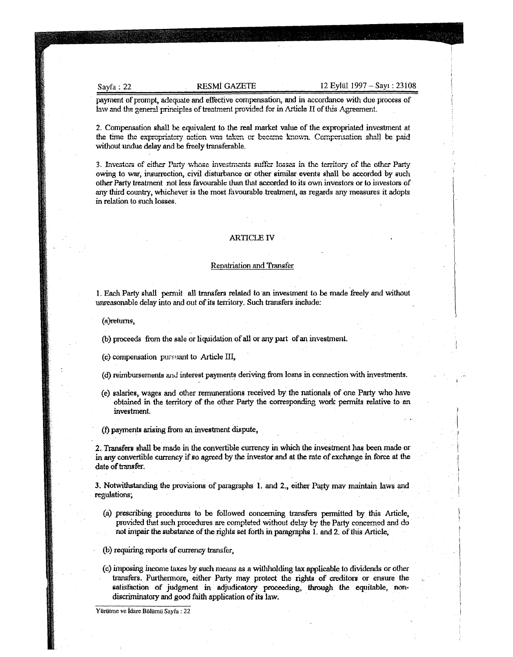Sayfa: 22

payment of prompt, adequate and effective compensation, and in accordance with due process of law and the general principles of treatment provided for in Article II of this Agreement.

2. Compensation shall be equivalent to the real market value of the expropriated investment at the time the expropriatory action was taken or became known. Compensation shall be paid without undue delay and be freely transferable.

3. Investors of either Party whose investments suffer losses in the territory of the other Party owing to war, insurrection, civil disturbance or other similar events shall be accorded by such other Party treatment not less favourable than that accorded to its own investors or to investors of any third country, whichever is the most favourable treatment, as regards any measures it adopts in relation to such losses.

#### ARTICLE IV

#### **Repatriation and Transfer**

1. Each Party shall permit all transfers related to an investment to be made freely and without unreasonable delay into and out of its territory. Such transfers include:

(a)returns,

(b) proceeds from the sale or liquidation of all or any part of an investment.

(c) compensation pursuant to Article III,

- (d) reimbursements and interest payments deriving from loans in connection with investments.
- (e) salaries, wages and other remunerations received by the nationals of one Party who have obtained in the territory of the other Party the corresponding work permits relative to an investment.

(f) payments arising from an investment dispute,

2. Transfers shall be made in the convertible currency in which the investment has been made or in any convertible currency if so agreed by the investor and at the rate of exchange in force at the date of transfer.

3. Notwithstanding the provisions of paragraphs 1. and 2., either Party may maintain laws and regulations;

- (a) prescribing procedures to be followed concerning transfers permitted by this Article, provided that such procedures are completed without delay by the Party concerned and do not impair the substance of the rights set forth in paragraphs 1, and 2, of this Article.
- (b) requiring reports of currency transfer.
- (c) imposing income taxes by such means as a withholding tax applicable to dividends or other transfers. Furthermore, either Party may protect the rights of creditors or ensure the satisfaction of judgment in adjudicatory proceeding, through the equitable, nondiscriminatory and good faith application of its law.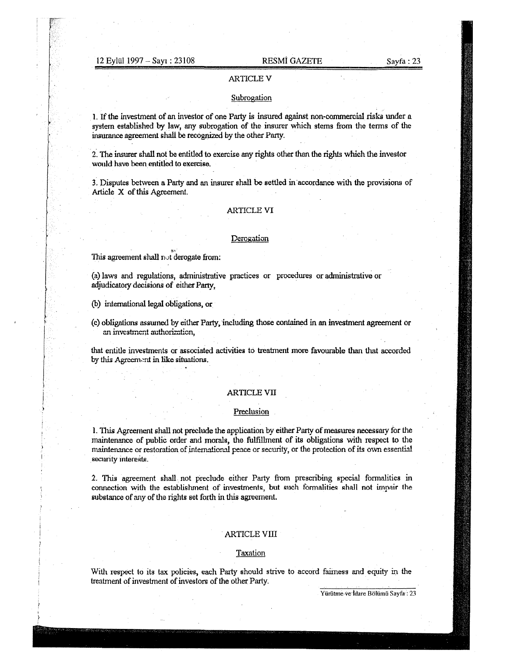12 EyliiI 1997 - SaYI : 23108 RESMi GAZETE Sayfa: 23

#### ARTICLE V

# Subrogation

1. If the investment of an investor of one party is insured against non-commercinl risks under a system established by law, any subrogation of the insurer which stems from the terms of the insurance agreement shall be recognized by the other Party.

-2~ The insurer shall not be entitled to exercise any rights other than the rights which the investor would have been entitled to exercise.

3. Disputes between a Party and an insurer shall be settled in 'accordance with the provisions of Article X of this Agreement.

## ARTICLE VI

#### **Derogation**

This agreement shall nut derogate from:

(a) laws and regulations, administrative practices or procedures or administrative or adjudicatory decisions of either Party,

(b) international legal obligations, or

I

\-

(c) obligations assumed by either Party, including those contained in an investment agreement or an investment authorization,

that entitle investments or associated activities to treatment more favourable than that accorded by this Agreement in like situations.

#### **ARTICLE VII**

### Preclusion

l. This Agreement shall not preclude the application by either Party of measures necessary for the maintenance of public order and morals, the fulfillment of its obligations with respect to the maintenance or restoration of international peace or security, or the protection of its own essential security interests.

2. This agreement shall not preclude either Party from prescribing special formalities in connection with the establishment of investments, but such formalities shall not impair the substance of any of the rights set forth in this agreement.

#### ARTICLE VIII

#### Taxation

With respect to its tax policies, each Party should strive to accord fairness and equity in the treatment of investment of investors of the other Party.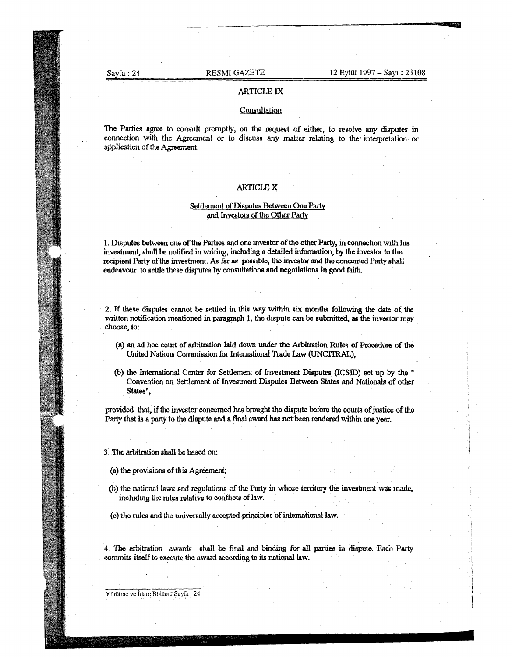a

 $\frac{1}{2}$  $\vert$ |<br>|<br>|-I

> $\left\{ \right.$ l  $\overline{1}$

# ARTICLE IX

#### Consultation

The Parties agree to consult promptly, on the request of either, to resolve any disputes in connection with the Agreement or to discuss any matter relating to the'interpretation or application of the Agreement.

#### ARTICLE X

# Settlement of Disputes Between One Party and Investors of the Other Party

1. Disputes between one of the Parties and one investor of the other Party, in connection with his investment, shall be notified in writing, including a detailed information, by the investor to the recipient Party of the investment. As far as possible, the investor and the concerned Party shall endeavour to settle these disputes by consultations and negotiations in good faith.

2. If these disputes cannot be settled in this way within six. months following the date of the written notification mentioned in paragraph 1, the dispute can be submitted, as the investor may choose, to:

- (a) an ad hoc court of arbitration laid down under the Arbitration Rules of Procedure of the United Nations Commission for International Trade Law (UNCITRAL),
- (b) the International Center for Settlement of Investment Disputes(ICSID) set up by the " Convention on Settlement of Investment Disputes Between States and Nationals of other <sup>~</sup>States",

provided that, if the investor concerned has brought the dispute before the courts of justice of the Party that is a party to the dispute and a final awnrd has not been rendered within one year.

3. The arbitration shall be based on:

(a) the provisions of this Agreement;

(b) the national laws and regulations of the Party in whose territory the investment was made, including the rules relative to conflicts of law.

(c) the rules and the universally accepted principles of international law.

4. The arbitration awards shall be final and binding for all parties in dispute. Each Party commits itself to execute the award according to its national law.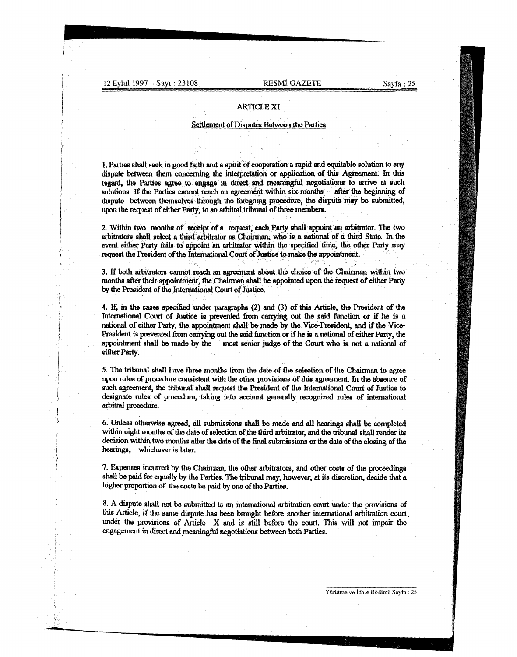12 Evlül 1997 - Sayı: 23108

#### **ARTICLE XI**

#### Settlement of Disputes Between the Parties

1. Parties shall seek in good faith and a spirit of cooperation a rapid and equitable solution to any dispute between them concerning the interpretation or application of this Agreement. In this regard, the Parties agree to engage in direct and meaningful negotiations to arrive at such solutions. If the Parties cannot reach an agreement within six months after the beginning of dispute between themselves through the foregoing procedure, the dispute may be submitted, upon the request of either Party, to an arbitral tribunal of three members.

2. Within two months of receipt of a request, each Party shall appoint an arbitrator. The two arbitrators shall select a third arbitrator as Chairman, who is a national of a third State. In the event either Party fails to appoint an arbitrator within the specified time, the other Party may request the President of the International Court of Justice to make the appointment.

3. If both arbitrators cannot reach an agreement about the choice of the Chairman within two months after their appointment, the Chairman shall be appointed upon the request of either Party by the President of the International Court of Justice.

4. If, in the cases specified under paragraphs (2) and (3) of this Article, the President of the International Court of Justice is prevented from carrying out the said function or if he is a national of either Party, the appointment shall be made by the Vice-President, and if the Vice-President is prevented from carrying out the said function or if he is a national of either Party, the appointment shall be made by the most senior judge of the Court who is not a national of either Party.

5. The tribunal shall have three months from the date of the selection of the Chairman to agree upon rules of procedure consistent with the other provisions of this agreement. In the absence of such agreement, the tribunal shall request the President of the International Court of Justice to designate rules of procedure, taking into account generally recognized rules of international arbitral procedure.

6. Unless otherwise agreed, all submissions shall be made and all hearings shall be completed within eight months of the date of selection of the third arbitrator, and the tribunal shall render its decision within two months after the date of the final submissions or the date of the closing of the hearings, whichever is later.

7. Expenses incurred by the Chairman, the other arbitrators, and other costs of the proceedings shall be paid for equally by the Parties. The tribunal may, however, at its discretion, decide that a higher proportion of the costs be paid by one of the Parties.

8. A dispute shall not be submitted to an international arbitration court under the provisions of this Article, if the same dispute has been brought before another international arbitration court under the provisions of Article X and is still before the court. This will not impair the engagement in direct and meaningful negotiations between both Parties.